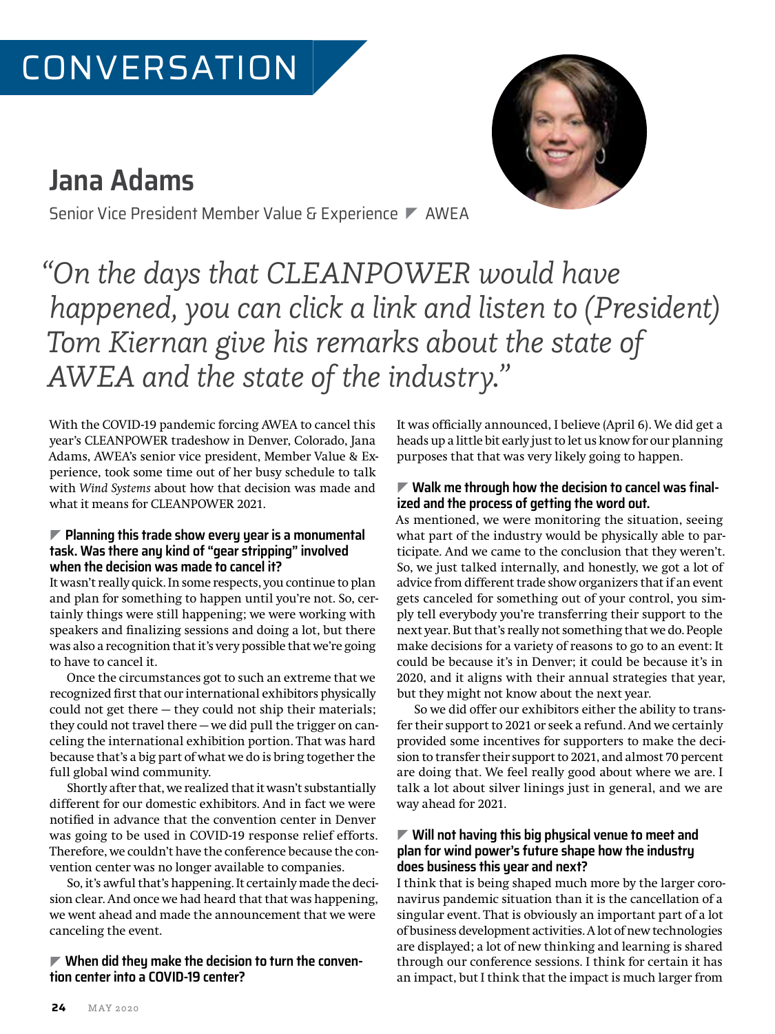# CONVERSATION

### **Jana Adams**



Senior Vice President Member Value & Experience ▼ AWEA

## *"On the days that CLEANPOWER would have happened, you can click a link and listen to (President) Tom Kiernan give his remarks about the state of AWEA and the state of the industry."*

With the COVID-19 pandemic forcing AWEA to cancel this year's CLEANPOWER tradeshow in Denver, Colorado, Jana Adams, AWEA's senior vice president, Member Value & Experience, took some time out of her busy schedule to talk with *Wind Systems* about how that decision was made and what it means for CLEANPOWER 2021.

#### ] **Planning this trade show every year is a monumental task. Was there any kind of "gear stripping" involved when the decision was made to cancel it?**

It wasn't really quick. In some respects, you continue to plan and plan for something to happen until you're not. So, certainly things were still happening; we were working with speakers and finalizing sessions and doing a lot, but there was also a recognition that it's very possible that we're going to have to cancel it.

Once the circumstances got to such an extreme that we recognized first that our international exhibitors physically could not get there — they could not ship their materials; they could not travel there — we did pull the trigger on canceling the international exhibition portion. That was hard because that's a big part of what we do is bring together the full global wind community.

Shortly after that, we realized that it wasn't substantially different for our domestic exhibitors. And in fact we were notified in advance that the convention center in Denver was going to be used in COVID-19 response relief efforts. Therefore, we couldn't have the conference because the convention center was no longer available to companies.

So, it's awful that's happening. It certainly made the decision clear. And once we had heard that that was happening, we went ahead and made the announcement that we were canceling the event.

] **When did they make the decision to turn the convention center into a COVID-19 center?**

It was officially announced, I believe (April 6). We did get a heads up a little bit early just to let us know for our planning purposes that that was very likely going to happen.

#### ] **Walk me through how the decision to cancel was finalized and the process of getting the word out.**

As mentioned, we were monitoring the situation, seeing what part of the industry would be physically able to participate. And we came to the conclusion that they weren't. So, we just talked internally, and honestly, we got a lot of advice from different trade show organizers that if an event gets canceled for something out of your control, you simply tell everybody you're transferring their support to the next year. But that's really not something that we do. People make decisions for a variety of reasons to go to an event: It could be because it's in Denver; it could be because it's in 2020, and it aligns with their annual strategies that year, but they might not know about the next year.

So we did offer our exhibitors either the ability to transfer their support to 2021 or seek a refund. And we certainly provided some incentives for supporters to make the decision to transfer their support to 2021, and almost 70 percent are doing that. We feel really good about where we are. I talk a lot about silver linings just in general, and we are way ahead for 2021.

#### ] **Will not having this big physical venue to meet and plan for wind power's future shape how the industry does business this year and next?**

I think that is being shaped much more by the larger coronavirus pandemic situation than it is the cancellation of a singular event. That is obviously an important part of a lot of business development activities. A lot of new technologies are displayed; a lot of new thinking and learning is shared through our conference sessions. I think for certain it has an impact, but I think that the impact is much larger from